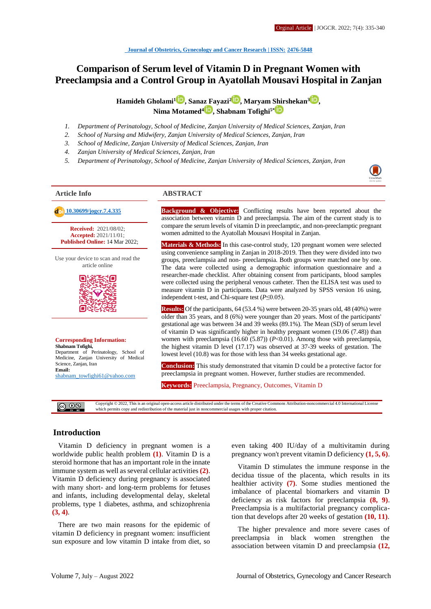# **Comparison of Serum level of Vitamin D in Pregnant Women with Preeclampsia and a Control Group in Ayatollah Mousavi Hospital in Zanjan**

**Hamideh Gholami[1](http://orcid.org/0000000340967139) , Sanaz Fayazi<sup>2</sup> [,](http://orcid.org/0000000224322536) Maryam Shirshekan[3](http://orcid.org/0000000190770989) , Nima Motamed<sup>4</sup> , Shabnam Tofighi5\***

- *1. Department of Perinatology, School of Medicine, Zanjan University of Medical Sciences, Zanjan, Iran*
- *2. School of Nursing and Midwifery, Zanjan University of Medical Sciences, Zanjan, Iran*
- *3. School of Medicine, Zanjan University of Medical Sciences, Zanjan, Iran*
- *4. Zanjan University of Medical Sciences, Zanjan, Iran*
- *5. Department of Perinatology, School of Medicine, Zanjan University of Medical Sciences, Zanjan, Iran*

**Received:** 2021/08/02; **Accepted:** 2021/11/01; **Published Online:** 14 Mar 2022;

Use your device to scan and read the article online



**Corresponding Information: Shabnam Tofighi,** Department of Perinatology, School of Medicine, Zanjan University of Medical Science, Zanjan, Iran **Email:**  [shabnam\\_towfighi61@yahoo.com](mailto:shabnam_towfighi61@yahoo.com)

@ ⊕§

# **Article Info ABSTRACT**

 **[10.30699/jogcr.7.4.335](http://dx.doi.org/10.30699/jogcr.7.4.335) Background & Objective:** Conflicting results have been reported about the association between vitamin D and preeclampsia. The aim of the current study is to compare the serum levels of vitamin D in preeclamptic, and non-preeclamptic pregnant women admitted to the Ayatollah Mousavi Hospital in Zanjan.

> **Materials & Methods:** In this case-control study, 120 pregnant women were selected using convenience sampling in Zanjan in 2018-2019. Then they were divided into two groups, preeclampsia and non- preeclampsia. Both groups were matched one by one. The data were collected using a demographic information questionnaire and a researcher-made checklist. After obtaining consent from participants, blood samples were collected using the peripheral venous catheter. Then the ELISA test was used to measure vitamin D in participants. Data were analyzed by SPSS version 16 using, independent t-test, and Chi-square test (*P*≤0.05).

> **Results:** Of the participants, 64 (53.4 %) were between 20-35 years old, 48 (40%) were older than 35 years, and 8 (6%) were younger than 20 years. Most of the participants' gestational age was between 34 and 39 weeks (89.1%). The Mean (SD) of serum level of vitamin D was significantly higher in healthy pregnant women (19.06 (7.48)) than women with preeclampsia  $(16.60 (5.87)) (P<0.01)$ . Among those with preeclampsia, the highest vitamin D level (17.17) was observed at 37-39 weeks of gestation. The lowest level (10.8) was for those with less than 34 weeks gestational age.

> **Conclusion:** This study demonstrated that vitamin D could be a protective factor for preeclampsia in pregnant women. However, further studies are recommended.

**Keywords:** Preeclampsia, Pregnancy, Outcomes, Vitamin D

Copyright © 2022, This is an original open-access article distributed under the terms of the Creative Commons Attribution-noncommercial 4.0 International License which permits copy and redistribution of the material just in noncommercial usages with proper citation.

### **Introduction**

Vitamin D deficiency in pregnant women is a worldwide public health problem **(1)**. Vitamin D is a steroid hormone that has an important role in the innate immune system as well as several cellular activities **(2)**. Vitamin D deficiency during pregnancy is associated with many short- and long-term problems for fetuses and infants, including developmental delay, skeletal problems, type 1 diabetes, asthma, and schizophrenia **(3, 4)**.

There are two main reasons for the epidemic of vitamin D deficiency in pregnant women: insufficient sun exposure and low vitamin D intake from diet, so

even taking 400 IU/day of a multivitamin during pregnancy won't prevent vitamin D deficiency **(1, 5, 6)**.

Vitamin D stimulates the immune response in the decidua tissue of the placenta, which results in its healthier activity **(7)**. Some studies mentioned the imbalance of placental biomarkers and vitamin D deficiency as risk factors for preeclampsia **(8, 9)**. Preeclampsia is a multifactorial pregnancy complication that develops after 20 weeks of gestation **(10, 11)**.

The higher prevalence and more severe cases of preeclampsia in black women strengthen the association between vitamin D and preeclampsia **(12,**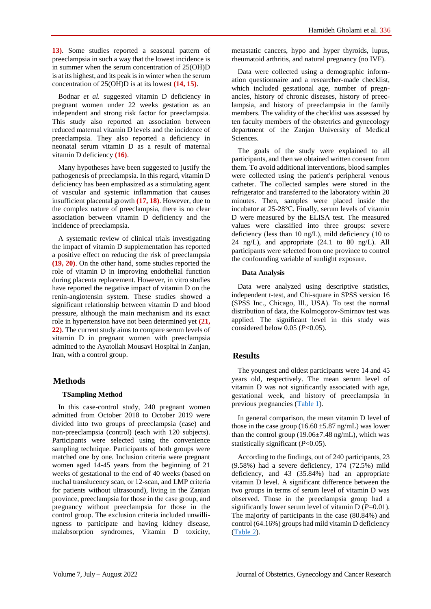**13)**. Some studies reported a seasonal pattern of preeclampsia in such a way that the lowest incidence is in summer when the serum concentration of 25(OH)D is at its highest, and its peak is in winter when the serum concentration of 25(OH)D is at its lowest **(14, 15)**.

Bodnar *et al.* suggested vitamin D deficiency in pregnant women under 22 weeks gestation as an independent and strong risk factor for preeclampsia. This study also reported an association between reduced maternal vitamin D levels and the incidence of preeclampsia. They also reported a deficiency in neonatal serum vitamin D as a result of maternal vitamin D deficiency **(16)**.

Many hypotheses have been suggested to justify the pathogenesis of preeclampsia. In this regard, vitamin D deficiency has been emphasized as a stimulating agent of vascular and systemic inflammation that causes insufficient placental growth **(17, 18)**. However, due to the complex nature of preeclampsia, there is no clear association between vitamin D deficiency and the incidence of preeclampsia.

A systematic review of clinical trials investigating the impact of vitamin D supplementation has reported a positive effect on reducing the risk of preeclampsia **(19, 20)**. On the other hand, some studies reported the role of vitamin D in improving endothelial function during placenta replacement. However, in vitro studies have reported the negative impact of vitamin D on the renin-angiotensin system. These studies showed a significant relationship between vitamin D and blood pressure, although the main mechanism and its exact role in hypertension have not been determined yet **(21, 22)**. The current study aims to compare serum levels of vitamin D in pregnant women with preeclampsia admitted to the Ayatollah Mousavi Hospital in Zanjan, Iran, with a control group.

### **Methods**

#### **TSampling Method**

In this case-control study, 240 pregnant women admitted from October 2018 to October 2019 were divided into two groups of preeclampsia (case) and non-preeclampsia (control) (each with 120 subjects). Participants were selected using the convenience sampling technique. Participants of both groups were matched one by one. Inclusion criteria were pregnant women aged 14-45 years from the beginning of 21 weeks of gestational to the end of 40 weeks (based on nuchal translucency scan, or 12-scan, and LMP criteria for patients without ultrasound), living in the Zanjan province, preeclampsia for those in the case group, and pregnancy without preeclampsia for those in the control group. The exclusion criteria included unwillingness to participate and having kidney disease, malabsorption syndromes, Vitamin D toxicity,

metastatic cancers, hypo and hyper thyroids, lupus, rheumatoid arthritis, and natural pregnancy (no IVF).

Data were collected using a demographic information questionnaire and a researcher-made checklist, which included gestational age, number of pregnancies, history of chronic diseases, history of preeclampsia, and history of preeclampsia in the family members. The validity of the checklist was assessed by ten faculty members of the obstetrics and gynecology department of the Zanjan University of Medical Sciences.

The goals of the study were explained to all participants, and then we obtained written consent from them. To avoid additional interventions, blood samples were collected using the patient's peripheral venous catheter. The collected samples were stored in the refrigerator and transferred to the laboratory within 20 minutes. Then, samples were placed inside the incubator at 25-28°C. Finally, serum levels of vitamin D were measured by the ELISA test. The measured values were classified into three groups: severe deficiency (less than 10 ng/L), mild deficiency (10 to 24 ng/L), and appropriate (24.1 to 80 ng/L). All participants were selected from one province to control the confounding variable of sunlight exposure.

#### **Data Analysis**

Data were analyzed using descriptive statistics, independent t-test, and Chi-square in SPSS version 16 (SPSS Inc., Chicago, Ill., USA). To test the normal distribution of data, the Kolmogorov-Smirnov test was applied. The significant level in this study was considered below 0.05 (*P*<0.05).

### **Results**

The youngest and oldest participants were 14 and 45 years old, respectively. The mean serum level of vitamin D was not significantly associated with age, gestational week, and history of preeclampsia in previous pregnancies [\(Table 1\)](#page-2-0).

In general comparison, the mean vitamin D level of those in the case group  $(16.60 \pm 5.87 \text{ ns/mL})$  was lower than the control group (19.06±7.48 ng/mL), which was statistically significant (*P*<0.05).

According to the findings, out of 240 participants, 23 (9.58%) had a severe deficiency, 174 (72.5%) mild deficiency, and 43 (35.84%) had an appropriate vitamin D level. A significant difference between the two groups in terms of serum level of vitamin D was observed. Those in the preeclampsia group had a significantly lower serum level of vitamin D (*P*=0.01). The majority of participants in the case (80.84%) and control (64.16%) groups had mild vitamin D deficiency [\(Table 2\)](#page-2-1).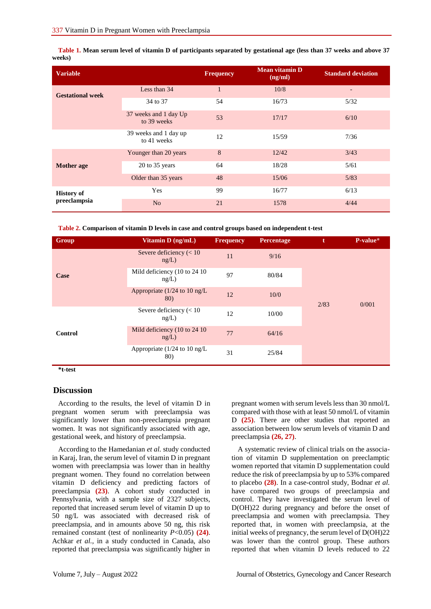<span id="page-2-0"></span>**Table 1. Mean serum level of vitamin D of participants separated by gestational age (less than 37 weeks and above 37 weeks)**

| <b>Variable</b>                   |                                      | <b>Frequency</b> | <b>Mean vitamin D</b><br>(ng/ml) | <b>Standard deviation</b> |
|-----------------------------------|--------------------------------------|------------------|----------------------------------|---------------------------|
| <b>Gestational week</b>           | Less than 34                         | $\mathbf{1}$     | 10/8                             | -                         |
|                                   | 34 to 37                             | 54               | 16/73                            | 5/32                      |
|                                   | 37 weeks and 1 day Up<br>to 39 weeks | 53               | 17/17                            | 6/10                      |
|                                   | 39 weeks and 1 day up<br>to 41 weeks | 12               | 15/59                            | 7/36                      |
| <b>Mother</b> age                 | Younger than 20 years                | 8                | 12/42                            | 3/43                      |
|                                   | 20 to 35 years                       | 64               | 18/28                            | 5/61                      |
|                                   | Older than 35 years                  | 48               | 15/06                            | 5/83                      |
| <b>History of</b><br>preeclampsia | Yes                                  | 99               | 16/77                            | 6/13                      |
|                                   | N <sub>o</sub>                       | 21               | 1578                             | 4/44                      |

<span id="page-2-1"></span>

|  |  |  |  |  |  | Table 2. Comparison of vitamin D levels in case and control groups based on independent t-test |  |
|--|--|--|--|--|--|------------------------------------------------------------------------------------------------|--|
|--|--|--|--|--|--|------------------------------------------------------------------------------------------------|--|

| Group   | Vitamin D (ng/mL)                      | <b>Frequency</b> | <b>Percentage</b> | t    | P-value* |
|---------|----------------------------------------|------------------|-------------------|------|----------|
| Case    | Severe deficiency $(< 10$<br>ng/L)     | 11               | 9/16              | 2/83 |          |
|         | Mild deficiency (10 to 24 10)<br>ng/L) | 97               | 80/84             |      |          |
|         | Appropriate ( $1/24$ to 10 ng/L<br>80) | 12               | 10/0              |      | 0/001    |
| Control | Severe deficiency $(< 10$<br>ng/L)     | 12               | 10/00             |      |          |
|         | Mild deficiency (10 to 24 10)<br>ng/L) | 77               | 64/16             |      |          |
|         | Appropriate $(1/24$ to 10 ng/L<br>80)  | 31               | 25/84             |      |          |

**\*t-test**

#### **Discussion**

According to the results, the level of vitamin D in pregnant women serum with preeclampsia was significantly lower than non-preeclampsia pregnant women. It was not significantly associated with age, gestational week, and history of preeclampsia.

According to the Hamedanian *et al.* study conducted in Karaj, Iran, the serum level of vitamin D in pregnant women with preeclampsia was lower than in healthy pregnant women. They found no correlation between vitamin D deficiency and predicting factors of preeclampsia **(23)**. A cohort study conducted in Pennsylvania, with a sample size of 2327 subjects, reported that increased serum level of vitamin D up to 50 ng/L was associated with decreased risk of preeclampsia, and in amounts above 50 ng, this risk remained constant (test of nonlinearity *P*<0.05) **(24)**. Achkar *et al.*, in a study conducted in Canada, also reported that preeclampsia was significantly higher in

pregnant women with serum levels less than 30 nmol/L compared with those with at least 50 nmol/L of vitamin D **(25)**. There are other studies that reported an association between low serum levels of vitamin D and preeclampsia **(26, 27)**.

A systematic review of clinical trials on the association of vitamin D supplementation on preeclamptic women reported that vitamin D supplementation could reduce the risk of preeclampsia by up to 53% compared to placebo **(28)**. In a case-control study, Bodnar *et al.* have compared two groups of preeclampsia and control. They have investigated the serum level of D(OH)22 during pregnancy and before the onset of preeclampsia and women with preeclampsia. They reported that, in women with preeclampsia, at the initial weeks of pregnancy, the serum level of D(OH)22 was lower than the control group. These authors reported that when vitamin D levels reduced to 22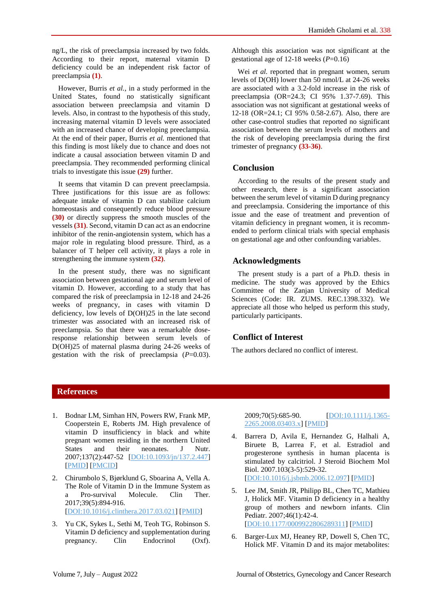ng/L, the risk of preeclampsia increased by two folds. According to their report, maternal vitamin D deficiency could be an independent risk factor of preeclampsia **(1)**.

However, Burris *et al.*, in a study performed in the United States, found no statistically significant association between preeclampsia and vitamin D levels. Also, in contrast to the hypothesis of this study, increasing maternal vitamin D levels were associated with an increased chance of developing preeclampsia. At the end of their paper, Burris *et al.* mentioned that this finding is most likely due to chance and does not indicate a causal association between vitamin D and preeclampsia. They recommended performing clinical trials to investigate this issue **(29)** further.

It seems that vitamin D can prevent preeclampsia. Three justifications for this issue are as follows: adequate intake of vitamin D can stabilize calcium homeostasis and consequently reduce blood pressure **(30)** or directly suppress the smooth muscles of the vessels **(31)**. Second, vitamin D can act as an endocrine inhibitor of the renin-angiotensin system, which has a major role in regulating blood pressure. Third, as a balancer of T helper cell activity, it plays a role in strengthening the immune system **(32)**.

In the present study, there was no significant association between gestational age and serum level of vitamin D. However, according to a study that has compared the risk of preeclampsia in 12-18 and 24-26 weeks of pregnancy, in cases with vitamin D deficiency, low levels of D(OH)25 in the late second trimester was associated with an increased risk of preeclampsia. So that there was a remarkable doseresponse relationship between serum levels of D(OH)25 of maternal plasma during 24-26 weeks of gestation with the risk of preeclampsia (*P*=0.03).

Although this association was not significant at the gestational age of 12-18 weeks (*P*=0.16)

Wei *et al.* reported that in pregnant women, serum levels of D(OH) lower than 50 nmol/L at 24-26 weeks are associated with a 3.2-fold increase in the risk of preeclampsia (OR=24.3; CI 95% 1.37-7.69). This association was not significant at gestational weeks of 12-18 (OR=24.1; CI 95% 0.58-2.67). Also, there are other case-control studies that reported no significant association between the serum levels of mothers and the risk of developing preeclampsia during the first trimester of pregnancy **(33-36)**.

## **Conclusion**

According to the results of the present study and other research, there is a significant association between the serum level of vitamin D during pregnancy and preeclampsia. Considering the importance of this issue and the ease of treatment and prevention of vitamin deficiency in pregnant women, it is recommended to perform clinical trials with special emphasis on gestational age and other confounding variables.

# **Acknowledgments**

The present study is a part of a Ph.D. thesis in medicine. The study was approved by the Ethics Committee of the Zanjan University of Medical Sciences (Code: IR. ZUMS. REC.1398.332). We appreciate all those who helped us perform this study, particularly participants.

# **Conflict of Interest**

The authors declared no conflict of interest.

# **References**

- 1. Bodnar LM, Simhan HN, Powers RW, Frank MP, Cooperstein E, Roberts JM. High prevalence of vitamin D insufficiency in black and white pregnant women residing in the northern United States and their neonates. J Nutr. 2007;137(2):447-52 [\[DOI:10.1093/jn/137.2.447\]](https://doi.org/10.1093/jn/137.2.447) [\[PMID\]](https://www.ncbi.nlm.nih.gov/pubmed/17237325) [\[PMCID\]](http://www.ncbi.nlm.nih.gov/pmc/articles/PMC4288960)
- 2. Chirumbolo S, Bjørklund G, Sboarina A, Vella A. The Role of Vitamin D in the Immune System as a Pro-survival Molecule. Clin Ther. 2017;39(5):894-916. [\[DOI:10.1016/j.clinthera.2017.03.021\]](https://doi.org/10.1016/j.clinthera.2017.03.021) [\[PMID\]](https://www.ncbi.nlm.nih.gov/pubmed/28438353)
- 3. Yu CK, Sykes L, Sethi M, Teoh TG, Robinson S. Vitamin D deficiency and supplementation during pregnancy. Clin Endocrinol (Oxf).

2009;70(5):685-90. [\[DOI:10.1111/j.1365-](https://doi.org/10.1111/j.1365-2265.2008.03403.x) [2265.2008.03403.x\]](https://doi.org/10.1111/j.1365-2265.2008.03403.x) [\[PMID\]](https://www.ncbi.nlm.nih.gov/pubmed/18771564)

- 4. Barrera D, Avila E, Hernandez G, Halhali A, Biruete B, Larrea F, et al. Estradiol and progesterone synthesis in human placenta is stimulated by calcitriol. J Steroid Biochem Mol Biol. 2007.103(3-5):529-32. [\[DOI:10.1016/j.jsbmb.2006.12.097\]](https://doi.org/10.1016/j.jsbmb.2006.12.097) [\[PMID\]](https://www.ncbi.nlm.nih.gov/pubmed/17257826)
- 5. Lee JM, Smith JR, Philipp BL, Chen TC, Mathieu J, Holick MF. Vitamin D deficiency in a healthy group of mothers and newborn infants. Clin Pediatr. 2007;46(1):42-4. [\[DOI:10.1177/0009922806289311\]](https://doi.org/10.1177/0009922806289311) [\[PMID\]](https://www.ncbi.nlm.nih.gov/pubmed/17164508)
- 6. Barger-Lux MJ, Heaney RP, Dowell S, Chen TC, Holick MF. Vitamin D and its major metabolites: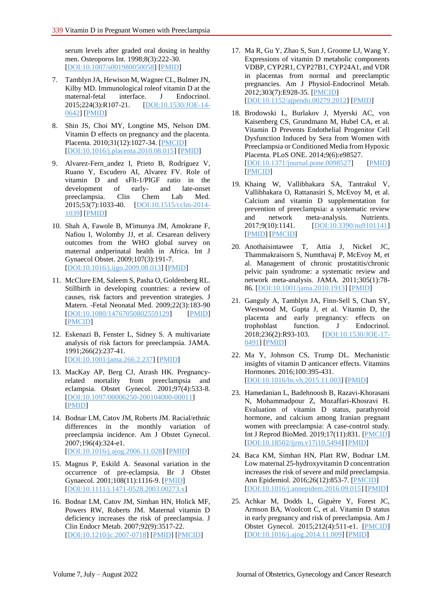serum levels after graded oral dosing in healthy men. Osteoporos Int. 1998;8(3):222-30. [\[DOI:10.1007/s001980050058\]](https://doi.org/10.1007/s001980050058) [\[PMID\]](https://www.ncbi.nlm.nih.gov/pubmed/9797906)

- 7. Tamblyn JA, Hewison M, Wagner CL, Bulmer JN, Kilby MD. Immunological roleof vitamin D at the maternal-fetal interface. J Endocrinol. 2015;224(3):R107-21. [\[DOI:10.1530/JOE-14-](https://doi.org/10.1530/JOE-14-0642) [0642\]](https://doi.org/10.1530/JOE-14-0642) [\[PMID\]](https://www.ncbi.nlm.nih.gov/pubmed/25663707)
- 8. Shin JS, Choi MY, Longtine MS, Nelson DM. Vitamin D effects on pregnancy and the placenta. Placenta. 2010;31(12):1027-34. [\[PMCID\]](http://www.ncbi.nlm.nih.gov/pmc/articles/PMC2993775) [\[DOI:10.1016/j.placenta.2010.08.015\]](https://doi.org/10.1016/j.placenta.2010.08.015) [\[PMID\]](https://www.ncbi.nlm.nih.gov/pubmed/20863562)
- 9. Alvarez-Fern\_andez I, Prieto B, Rodríguez V, Ruano Y, Escudero AI, Alvarez FV. Role of vitamin D and sFlt-1/PlGF ratio in the development of early- and late-onset preeclampsia. Clin Chem Lab Med. 2015;53(7):1033-40. [\[DOI:10.1515/cclm-2014-](https://doi.org/10.1515/cclm-2014-1039) [1039\]](https://doi.org/10.1515/cclm-2014-1039) [\[PMID\]](https://www.ncbi.nlm.nih.gov/pubmed/25544745)
- 10. Shah A, Fawole B, M'imunya JM, Amokrane F, Nafiou I, Wolomby JJ, et al. Cesarean delivery outcomes from the WHO global survey on maternal andperinatal health in Africa. Int J Gynaecol Obstet. 2009;107(3):191-7. [\[DOI:10.1016/j.ijgo.2009.08.013\]](https://doi.org/10.1016/j.ijgo.2009.08.013) [\[PMID\]](https://www.ncbi.nlm.nih.gov/pubmed/19782977)
- 11. McClure EM, Saleem S, Pasha O, Goldenberg RL. Stillbirth in developing countries: a review of causes, risk factors and prevention strategies. J Matern. -Fetal Neonatal Med. 2009;22(3):183-90 [\[DOI:10.1080/14767050802559129\]](https://doi.org/10.1080/14767050802559129) [\[PMID\]](https://www.ncbi.nlm.nih.gov/pubmed/19089779) [\[PMCID\]](http://www.ncbi.nlm.nih.gov/pmc/articles/PMC3893926)
- 12. Eskenazi B, Fenster L, Sidney S. A multivariate analysis of risk factors for preeclampsia. JAMA. 1991;266(2):237-41. [\[DOI:10.1001/jama.266.2.237\]](https://doi.org/10.1001/jama.266.2.237) [\[PMID\]](https://www.ncbi.nlm.nih.gov/pubmed/2056625)
- 13. MacKay AP, Berg CJ, Atrash HK. Pregnancyrelated mortality from preeclampsia and eclampsia. Obstet Gynecol. 2001;97(4):533-8. [\[DOI:10.1097/00006250-200104000-00011\]](https://doi.org/10.1097/00006250-200104000-00011) [\[PMID\]](https://www.ncbi.nlm.nih.gov/pubmed/11275024)
- 14. Bodnar LM, Catov JM, Roberts JM. Racial/ethnic differences in the monthly variation of preeclampsia incidence. Am J Obstet Gynecol. 2007;196(4):324-e1. [\[DOI:10.1016/j.ajog.2006.11.028\]](https://doi.org/10.1016/j.ajog.2006.11.028) [\[PMID\]](https://www.ncbi.nlm.nih.gov/pubmed/17403406)
- 15. Magnus P, Eskild A. Seasonal variation in the occurrence of pre-eclampsia. Br J Obstet Gynaecol. 2001;108(11):1116-9. [\[PMID\]](https://www.ncbi.nlm.nih.gov/pubmed/11762648) [\[DOI:10.1111/j.1471-0528.2003.00273.x\]](https://doi.org/10.1111/j.1471-0528.2003.00273.x)
- 16. Bodnar LM, Catov JM, Simhan HN, Holick MF, Powers RW, Roberts JM. Maternal vitamin D deficiency increases the risk of preeclampsia. J Clin Endocr Metab. 2007;92(9):3517-22. [\[DOI:10.1210/jc.2007-0718\]](https://doi.org/10.1210/jc.2007-0718) [\[PMID\]](https://www.ncbi.nlm.nih.gov/pubmed/17535985) [\[PMCID\]](http://www.ncbi.nlm.nih.gov/pmc/articles/PMC4288954)
- 17. Ma R, Gu Y, Zhao S, Sun J, Groome LJ, Wang Y. Expressions of vitamin D metabolic components VDBP, CYP2R1, CYP27B1, CYP24A1, and VDR in placentas from normal and preeclamptic pregnancies. Am J Physiol-Endocrinol Metab. 2012;303(7):E928-35. [\[PMCID\]](http://www.ncbi.nlm.nih.gov/pmc/articles/PMC3469619) [\[DOI:10.1152/ajpendo.00279.2012\]](https://doi.org/10.1152/ajpendo.00279.2012) [\[PMID\]](https://www.ncbi.nlm.nih.gov/pubmed/22871339)
- 18. Brodowski L, Burlakov J, Myerski AC, von Kaisenberg CS, Grundmann M, Hubel CA, et al. Vitamin D Prevents Endothelial Progenitor Cell Dysfunction Induced by Sera from Women with Preeclampsia or Conditioned Media from Hypoxic Placenta. PLoS ONE. 2014;9(6):e98527. [\[DOI:10.1371/journal.pone.0098527\]](https://doi.org/10.1371/journal.pone.0098527) [\[PMID\]](https://www.ncbi.nlm.nih.gov/pubmed/24887145) [\[PMCID\]](http://www.ncbi.nlm.nih.gov/pmc/articles/PMC4041729)
- 19. Khaing W, Vallibhakara SA, Tantrakul V, Vallibhakara O, Rattanasiri S, McEvoy M, et al. Calcium and vitamin D supplementation for prevention of preeclampsia: a systematic review and network meta-analysis. Nutrients. 2017;9(10):1141. [\[DOI:10.3390/nu9101141\]](https://doi.org/10.3390/nu9101141) [\[PMID\]](https://www.ncbi.nlm.nih.gov/pubmed/29057843) [\[PMCID\]](http://www.ncbi.nlm.nih.gov/pmc/articles/PMC5691757)
- 20. Anothaisintawee T, Attia J, Nickel JC, Thammakraisorn S, Numthavaj P, McEvoy M, et al. Management of chronic prostatitis/chronic pelvic pain syndrome: a systematic review and network meta-analysis. JAMA. 2011;305(1):78- 86. [\[DOI:10.1001/jama.2010.1913\]](https://doi.org/10.1001/jama.2010.1913) [\[PMID\]](https://www.ncbi.nlm.nih.gov/pubmed/21205969)
- 21. Ganguly A, Tamblyn JA, Finn-Sell S, Chan SY, Westwood M, Gupta J, et al. Vitamin D, the placenta and early pregnancy: effects on trophoblast function. J Endocrinol. 2018;236(2):R93-103. [\[DOI:10.1530/JOE-17-](https://doi.org/10.1530/JOE-17-0491) [0491\]](https://doi.org/10.1530/JOE-17-0491) [\[PMID\]](https://www.ncbi.nlm.nih.gov/pubmed/29109081)
- 22. Ma Y, Johnson CS, Trump DL. Mechanistic insights of vitamin D anticancer effects. Vitamins Hormones. 2016;100:395-431. [\[DOI:10.1016/bs.vh.2015.11.003\]](https://doi.org/10.1016/bs.vh.2015.11.003) [\[PMID\]](https://www.ncbi.nlm.nih.gov/pubmed/26827961)
- 23. Hamedanian L, Badehnoosh B, Razavi-Khorasani N, Mohammadpour Z, Mozaffari-Khosravi H. Evaluation of vitamin D status, parathyroid hormone, and calcium among Iranian pregnant women with preeclampsia: A case-control study. Int J Reprod BioMed. 2019;17(11):831. [\[PMCID\]](http://www.ncbi.nlm.nih.gov/pmc/articles/PMC6906855) [\[DOI:10.18502/ijrm.v17i10.5494\]](https://doi.org/10.18502/ijrm.v17i10.5494) [\[PMID\]](https://www.ncbi.nlm.nih.gov/pubmed/31911965)
- 24. Baca KM, Simhan HN, Platt RW, Bodnar LM. Low maternal 25-hydroxyvitamin D concentration increases the risk of severe and mild preeclampsia. Ann Epidemiol. 2016;26(12):853-7. [\[PMCID\]](http://www.ncbi.nlm.nih.gov/pmc/articles/PMC7848792) [\[DOI:10.1016/j.annepidem.2016.09.015\]](https://doi.org/10.1016/j.annepidem.2016.09.015) [\[PMID\]](https://www.ncbi.nlm.nih.gov/pubmed/27818017)
- 25. Achkar M, Dodds L, Giguère Y, Forest JC, Armson BA, Woolcott C, et al. Vitamin D status in early pregnancy and risk of preeclampsia. Am J Obstet Gynecol. 2015;212(4):511-e1. [\[PMCID\]](http://www.ncbi.nlm.nih.gov/pmc/articles/PMC5023419) [\[DOI:10.1016/j.ajog.2014.11.009\]](https://doi.org/10.1016/j.ajog.2014.11.009) [\[PMID\]](https://www.ncbi.nlm.nih.gov/pubmed/25446694)